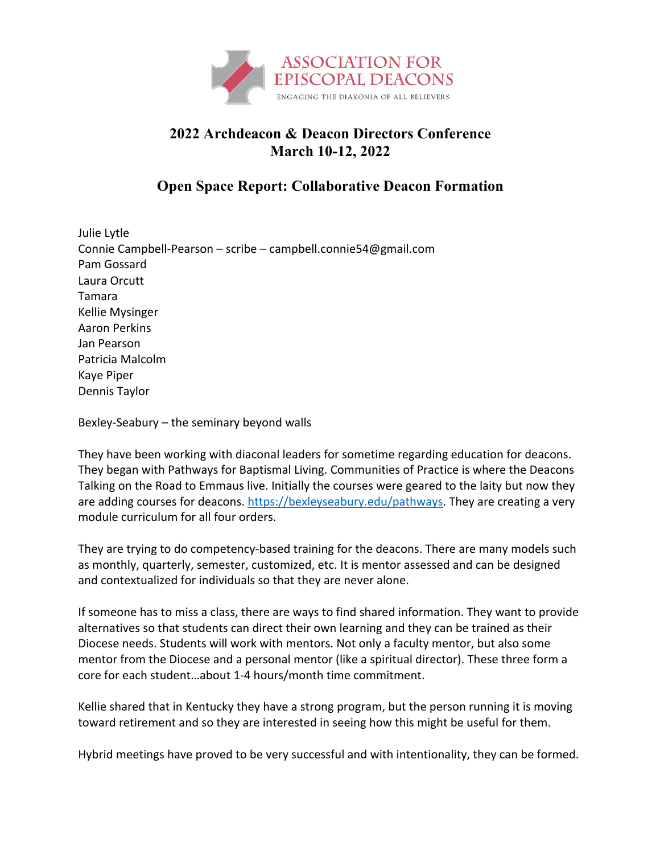

## **2022 Archdeacon & Deacon Directors Conference March 10-12, 2022**

## **Open Space Report: Collaborative Deacon Formation**

Julie Lytle Connie Campbell-Pearson – scribe – campbell.connie54@gmail.com Pam Gossard Laura Orcutt Tamara Kellie Mysinger Aaron Perkins Jan Pearson Patricia Malcolm Kaye Piper Dennis Taylor

Bexley-Seabury – the seminary beyond walls

They have been working with diaconal leaders for sometime regarding education for deacons. They began with Pathways for Baptismal Living. Communities of Practice is where the Deacons Talking on the Road to Emmaus live. Initially the courses were geared to the laity but now they are adding courses for deacons. https://bexleyseabury.edu/pathways. They are creating a very module curriculum for all four orders.

They are trying to do competency-based training for the deacons. There are many models such as monthly, quarterly, semester, customized, etc. It is mentor assessed and can be designed and contextualized for individuals so that they are never alone.

If someone has to miss a class, there are ways to find shared information. They want to provide alternatives so that students can direct their own learning and they can be trained as their Diocese needs. Students will work with mentors. Not only a faculty mentor, but also some mentor from the Diocese and a personal mentor (like a spiritual director). These three form a core for each student…about 1-4 hours/month time commitment.

Kellie shared that in Kentucky they have a strong program, but the person running it is moving toward retirement and so they are interested in seeing how this might be useful for them.

Hybrid meetings have proved to be very successful and with intentionality, they can be formed.